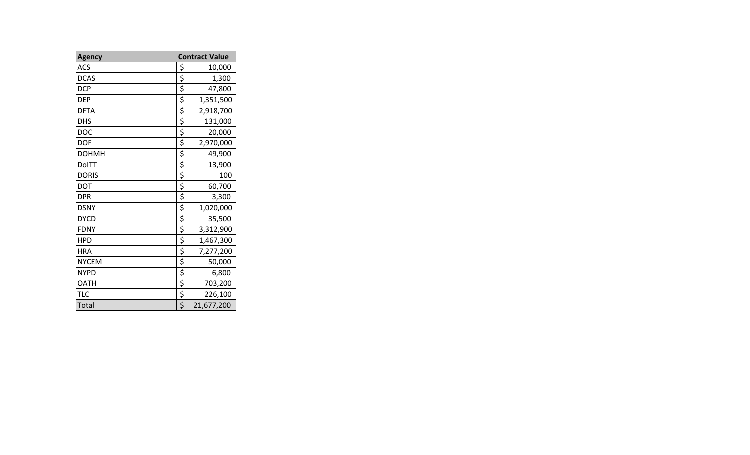| <b>Agency</b> | <b>Contract Value</b> |    |            |
|---------------|-----------------------|----|------------|
| <b>ACS</b>    |                       | \$ | 10,000     |
| <b>DCAS</b>   |                       | \$ | 1,300      |
| <b>DCP</b>    |                       | \$ | 47,800     |
| <b>DEP</b>    |                       | \$ | 1,351,500  |
| <b>DFTA</b>   |                       | \$ | 2,918,700  |
| <b>DHS</b>    |                       | \$ | 131,000    |
| <b>DOC</b>    |                       | \$ | 20,000     |
| <b>DOF</b>    |                       | \$ | 2,970,000  |
| <b>DOHMH</b>  |                       | \$ | 49,900     |
| <b>DoITT</b>  |                       | \$ | 13,900     |
| <b>DORIS</b>  |                       | \$ | 100        |
| DOT           |                       | \$ | 60,700     |
| <b>DPR</b>    |                       | \$ | 3,300      |
| <b>DSNY</b>   |                       | \$ | 1,020,000  |
| <b>DYCD</b>   |                       | \$ | 35,500     |
| <b>FDNY</b>   |                       | \$ | 3,312,900  |
| <b>HPD</b>    |                       | \$ | 1,467,300  |
| <b>HRA</b>    |                       | \$ | 7,277,200  |
| <b>NYCEM</b>  |                       | \$ | 50,000     |
| <b>NYPD</b>   |                       | \$ | 6,800      |
| <b>OATH</b>   |                       | \$ | 703,200    |
| <b>TLC</b>    |                       | \$ | 226,100    |
| Total         |                       | \$ | 21,677,200 |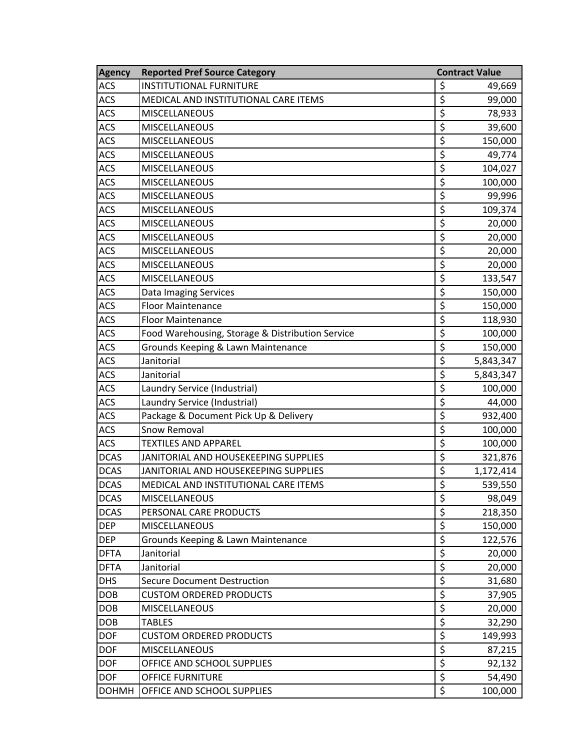| <b>Agency</b> | <b>Reported Pref Source Category</b>             |                                 | <b>Contract Value</b> |
|---------------|--------------------------------------------------|---------------------------------|-----------------------|
| <b>ACS</b>    | <b>INSTITUTIONAL FURNITURE</b>                   | \$                              | 49,669                |
| <b>ACS</b>    | MEDICAL AND INSTITUTIONAL CARE ITEMS             | \$                              | 99,000                |
| <b>ACS</b>    | <b>MISCELLANEOUS</b>                             | \$                              | 78,933                |
| <b>ACS</b>    | <b>MISCELLANEOUS</b>                             | \$                              | 39,600                |
| <b>ACS</b>    | <b>MISCELLANEOUS</b>                             | \$                              | 150,000               |
| <b>ACS</b>    | <b>MISCELLANEOUS</b>                             | $\overline{\boldsymbol{\zeta}}$ | 49,774                |
| <b>ACS</b>    | <b>MISCELLANEOUS</b>                             | $\overline{\xi}$                | 104,027               |
| <b>ACS</b>    | <b>MISCELLANEOUS</b>                             | \$                              | 100,000               |
| <b>ACS</b>    | <b>MISCELLANEOUS</b>                             | \$                              | 99,996                |
| <b>ACS</b>    | <b>MISCELLANEOUS</b>                             | \$                              | 109,374               |
| <b>ACS</b>    | <b>MISCELLANEOUS</b>                             | \$                              | 20,000                |
| <b>ACS</b>    | <b>MISCELLANEOUS</b>                             | \$                              | 20,000                |
| <b>ACS</b>    | <b>MISCELLANEOUS</b>                             | \$                              | 20,000                |
| <b>ACS</b>    | <b>MISCELLANEOUS</b>                             | \$                              | 20,000                |
| <b>ACS</b>    | <b>MISCELLANEOUS</b>                             | \$                              | 133,547               |
| <b>ACS</b>    | <b>Data Imaging Services</b>                     | \$                              | 150,000               |
| <b>ACS</b>    | <b>Floor Maintenance</b>                         | \$                              | 150,000               |
| <b>ACS</b>    | <b>Floor Maintenance</b>                         | \$                              | 118,930               |
| <b>ACS</b>    | Food Warehousing, Storage & Distribution Service | $\overline{\mathsf{S}}$         | 100,000               |
| <b>ACS</b>    | Grounds Keeping & Lawn Maintenance               | \$                              | 150,000               |
| <b>ACS</b>    | Janitorial                                       | \$                              | 5,843,347             |
| <b>ACS</b>    | Janitorial                                       | \$                              | 5,843,347             |
| <b>ACS</b>    | Laundry Service (Industrial)                     | \$                              | 100,000               |
| <b>ACS</b>    | Laundry Service (Industrial)                     | $\overline{\boldsymbol{\zeta}}$ | 44,000                |
| <b>ACS</b>    | Package & Document Pick Up & Delivery            | \$                              | 932,400               |
| <b>ACS</b>    | Snow Removal                                     | \$                              | 100,000               |
| <b>ACS</b>    | <b>TEXTILES AND APPAREL</b>                      | \$                              | 100,000               |
| <b>DCAS</b>   | JANITORIAL AND HOUSEKEEPING SUPPLIES             | \$                              | 321,876               |
| <b>DCAS</b>   | JANITORIAL AND HOUSEKEEPING SUPPLIES             | \$                              | 1,172,414             |
| <b>DCAS</b>   | MEDICAL AND INSTITUTIONAL CARE ITEMS             | \$                              | 539,550               |
| <b>DCAS</b>   | <b>MISCELLANEOUS</b>                             | \$                              | 98,049                |
| <b>DCAS</b>   | PERSONAL CARE PRODUCTS                           | $\overline{\boldsymbol{\zeta}}$ | 218,350               |
| <b>DEP</b>    | <b>MISCELLANEOUS</b>                             | \$                              | 150,000               |
| <b>DEP</b>    | Grounds Keeping & Lawn Maintenance               | \$                              | 122,576               |
| <b>DFTA</b>   | Janitorial                                       | \$                              | 20,000                |
| <b>DFTA</b>   | Janitorial                                       | \$                              | 20,000                |
| <b>DHS</b>    | <b>Secure Document Destruction</b>               | \$                              | 31,680                |
| DOB           | <b>CUSTOM ORDERED PRODUCTS</b>                   | $\overline{\xi}$                | 37,905                |
| <b>DOB</b>    | <b>MISCELLANEOUS</b>                             | \$                              | 20,000                |
| <b>DOB</b>    | <b>TABLES</b>                                    | \$                              | 32,290                |
| <b>DOF</b>    | <b>CUSTOM ORDERED PRODUCTS</b>                   | \$                              | 149,993               |
| <b>DOF</b>    | <b>MISCELLANEOUS</b>                             | \$                              | 87,215                |
| <b>DOF</b>    | OFFICE AND SCHOOL SUPPLIES                       | \$                              | 92,132                |
| <b>DOF</b>    | <b>OFFICE FURNITURE</b>                          | \$                              | 54,490                |
| <b>DOHMH</b>  | OFFICE AND SCHOOL SUPPLIES                       | \$                              | 100,000               |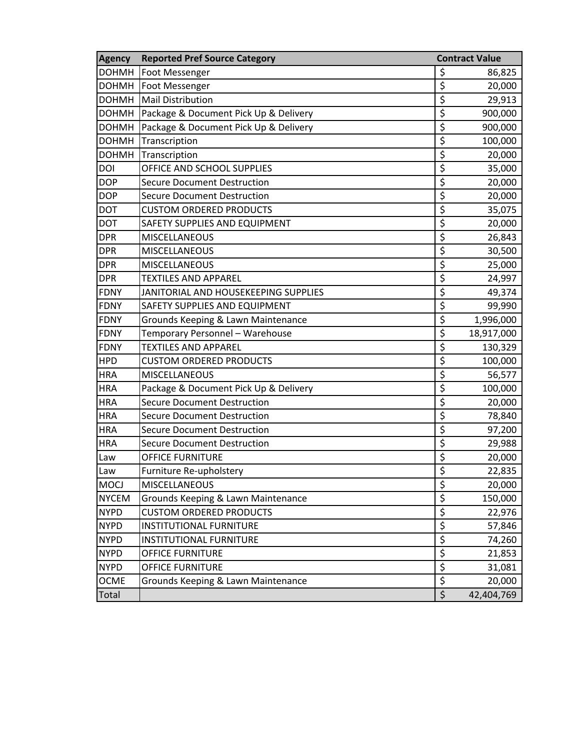| <b>Agency</b> | <b>Reported Pref Source Category</b>  |                                     | <b>Contract Value</b> |
|---------------|---------------------------------------|-------------------------------------|-----------------------|
| <b>DOHMH</b>  | Foot Messenger                        | \$                                  | 86,825                |
| <b>DOHMH</b>  | Foot Messenger                        | $\overline{\xi}$                    | 20,000                |
| <b>DOHMH</b>  | <b>Mail Distribution</b>              | \$                                  | 29,913                |
| <b>DOHMH</b>  | Package & Document Pick Up & Delivery | $\overline{\boldsymbol{\varsigma}}$ | 900,000               |
| <b>DOHMH</b>  | Package & Document Pick Up & Delivery | $\overline{\xi}$                    | 900,000               |
| <b>DOHMH</b>  | Transcription                         | \$                                  | 100,000               |
| <b>DOHMH</b>  | Transcription                         | $\overline{\xi}$                    | 20,000                |
| DOI           | OFFICE AND SCHOOL SUPPLIES            | \$                                  | 35,000                |
| <b>DOP</b>    | <b>Secure Document Destruction</b>    | $\overline{\mathsf{S}}$             | 20,000                |
| <b>DOP</b>    | <b>Secure Document Destruction</b>    | \$                                  | 20,000                |
| <b>DOT</b>    | <b>CUSTOM ORDERED PRODUCTS</b>        | $\overline{\boldsymbol{\zeta}}$     | 35,075                |
| <b>DOT</b>    | SAFETY SUPPLIES AND EQUIPMENT         | $\overline{\mathsf{S}}$             | 20,000                |
| <b>DPR</b>    | <b>MISCELLANEOUS</b>                  | \$                                  | 26,843                |
| <b>DPR</b>    | <b>MISCELLANEOUS</b>                  | $\overline{\xi}$                    | 30,500                |
| <b>DPR</b>    | <b>MISCELLANEOUS</b>                  | \$                                  | 25,000                |
| <b>DPR</b>    | <b>TEXTILES AND APPAREL</b>           | \$                                  | 24,997                |
| <b>FDNY</b>   | JANITORIAL AND HOUSEKEEPING SUPPLIES  | \$                                  | 49,374                |
| <b>FDNY</b>   | SAFETY SUPPLIES AND EQUIPMENT         | $\overline{\xi}$                    | 99,990                |
| <b>FDNY</b>   | Grounds Keeping & Lawn Maintenance    | \$                                  | 1,996,000             |
| <b>FDNY</b>   | Temporary Personnel - Warehouse       | \$                                  | 18,917,000            |
| <b>FDNY</b>   | <b>TEXTILES AND APPAREL</b>           | $\overline{\xi}$                    | 130,329               |
| <b>HPD</b>    | <b>CUSTOM ORDERED PRODUCTS</b>        | \$                                  | 100,000               |
| <b>HRA</b>    | <b>MISCELLANEOUS</b>                  | \$                                  | 56,577                |
| <b>HRA</b>    | Package & Document Pick Up & Delivery | $\overline{\xi}$                    | 100,000               |
| <b>HRA</b>    | <b>Secure Document Destruction</b>    | \$                                  | 20,000                |
| <b>HRA</b>    | <b>Secure Document Destruction</b>    | \$                                  | 78,840                |
| <b>HRA</b>    | <b>Secure Document Destruction</b>    | \$                                  | 97,200                |
| <b>HRA</b>    | <b>Secure Document Destruction</b>    | $\overline{\mathsf{S}}$             | 29,988                |
| Law           | <b>OFFICE FURNITURE</b>               | $\overline{\xi}$                    | 20,000                |
| Law           | Furniture Re-upholstery               | $\overline{\xi}$                    | 22,835                |
| <b>MOCJ</b>   | <b>MISCELLANEOUS</b>                  | \$                                  | 20,000                |
| <b>NYCEM</b>  | Grounds Keeping & Lawn Maintenance    | \$                                  | 150,000               |
| <b>NYPD</b>   | <b>CUSTOM ORDERED PRODUCTS</b>        | \$                                  | 22,976                |
| <b>NYPD</b>   | <b>INSTITUTIONAL FURNITURE</b>        | \$                                  | 57,846                |
| <b>NYPD</b>   | <b>INSTITUTIONAL FURNITURE</b>        | \$                                  | 74,260                |
| <b>NYPD</b>   | OFFICE FURNITURE                      | \$                                  | 21,853                |
| <b>NYPD</b>   | <b>OFFICE FURNITURE</b>               | \$                                  | 31,081                |
| OCME          | Grounds Keeping & Lawn Maintenance    | \$                                  | 20,000                |
| Total         |                                       | $\overline{\xi}$                    | 42,404,769            |